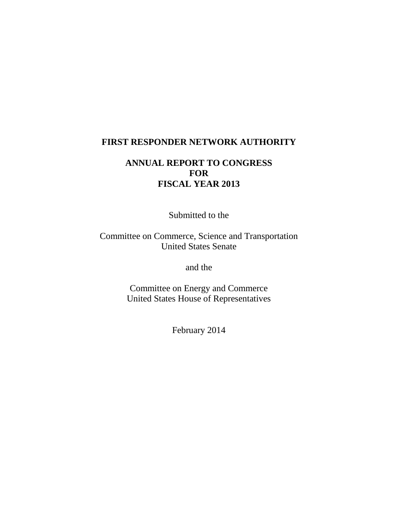### **FIRST RESPONDER NETWORK AUTHORITY**

# **ANNUAL REPORT TO CONGRESS FOR FISCAL YEAR 2013**

Submitted to the

Committee on Commerce, Science and Transportation United States Senate

and the

Committee on Energy and Commerce United States House of Representatives

February 2014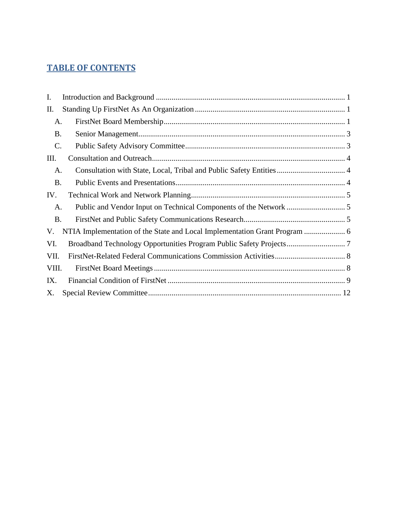# **TABLE OF CONTENTS**

| Ι.        |  |
|-----------|--|
| Π.        |  |
| A.        |  |
| <b>B.</b> |  |
| C.        |  |
| Ш.        |  |
| A.        |  |
| <b>B.</b> |  |
| IV.       |  |
| A.        |  |
| <b>B.</b> |  |
| V.        |  |
| VI.       |  |
| VII.      |  |
| VIII.     |  |
| IX.       |  |
| Х.        |  |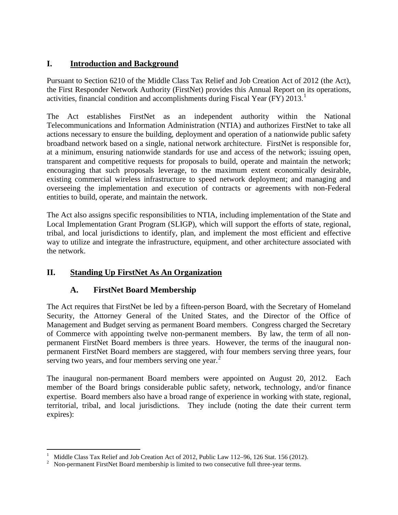# <span id="page-2-0"></span>**I. Introduction and Background**

Pursuant to Section 6210 of the Middle Class Tax Relief and Job Creation Act of 2012 (the Act), the First Responder Network Authority (FirstNet) provides this Annual Report on its operations, activities, financial condition and accomplishments during Fiscal Year (FY) 20[1](#page-2-3)3.<sup>1</sup>

The Act establishes FirstNet as an independent authority within the National Telecommunications and Information Administration (NTIA) and authorizes FirstNet to take all actions necessary to ensure the building, deployment and operation of a nationwide public safety broadband network based on a single, national network architecture. FirstNet is responsible for, at a minimum, ensuring nationwide standards for use and access of the network; issuing open, transparent and competitive requests for proposals to build, operate and maintain the network; encouraging that such proposals leverage, to the maximum extent economically desirable, existing commercial wireless infrastructure to speed network deployment; and managing and overseeing the implementation and execution of contracts or agreements with non-Federal entities to build, operate, and maintain the network.

The Act also assigns specific responsibilities to NTIA, including implementation of the State and Local Implementation Grant Program (SLIGP), which will support the efforts of state, regional, tribal, and local jurisdictions to identify, plan, and implement the most efficient and effective way to utilize and integrate the infrastructure, equipment, and other architecture associated with the network.

# <span id="page-2-2"></span><span id="page-2-1"></span>**II. Standing Up FirstNet As An Organization**

# **A. FirstNet Board Membership**

The Act requires that FirstNet be led by a fifteen-person Board, with the Secretary of Homeland Security, the Attorney General of the United States, and the Director of the Office of Management and Budget serving as permanent Board members. Congress charged the Secretary of Commerce with appointing twelve non-permanent members. By law, the term of all nonpermanent FirstNet Board members is three years. However, the terms of the inaugural nonpermanent FirstNet Board members are staggered, with four members serving three years, four serving two years, and four members serving one year.<sup>[2](#page-2-4)</sup>

The inaugural non-permanent Board members were appointed on August 20, 2012. Each member of the Board brings considerable public safety, network, technology, and/or finance expertise. Board members also have a broad range of experience in working with state, regional, territorial, tribal, and local jurisdictions. They include (noting the date their current term expires):

<span id="page-2-3"></span><sup>&</sup>lt;sup>1</sup> Middle Class Tax Relief and Job Creation Act of 2012, Public Law 112–96, 126 Stat. 156 (2012).<br><sup>2</sup> Non-nermanent FirstNet Board membership is limited to two consecutive full three-year terms

<span id="page-2-4"></span>Non-permanent FirstNet Board membership is limited to two consecutive full three-year terms.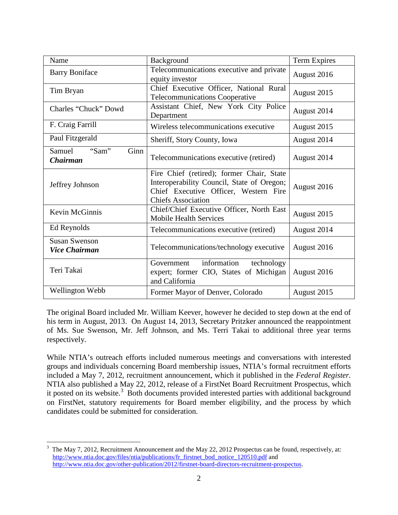| Name                                         | Background                                                                                                                                                    | Term Expires |
|----------------------------------------------|---------------------------------------------------------------------------------------------------------------------------------------------------------------|--------------|
| <b>Barry Boniface</b>                        | Telecommunications executive and private<br>equity investor                                                                                                   | August 2016  |
| Tim Bryan                                    | Chief Executive Officer, National Rural<br><b>Telecommunications Cooperative</b>                                                                              | August 2015  |
| Charles "Chuck" Dowd                         | Assistant Chief, New York City Police<br>Department                                                                                                           | August 2014  |
| F. Craig Farrill                             | Wireless telecommunications executive                                                                                                                         | August 2015  |
| Paul Fitzgerald                              | Sheriff, Story County, Iowa                                                                                                                                   | August 2014  |
| "Sam"<br>Ginn<br>Samuel<br><b>Chairman</b>   | Telecommunications executive (retired)                                                                                                                        | August 2014  |
| Jeffrey Johnson                              | Fire Chief (retired); former Chair, State<br>Interoperability Council, State of Oregon;<br>Chief Executive Officer, Western Fire<br><b>Chiefs Association</b> | August 2016  |
| Kevin McGinnis                               | Chief/Chief Executive Officer, North East<br><b>Mobile Health Services</b>                                                                                    | August 2015  |
| Ed Reynolds                                  | Telecommunications executive (retired)                                                                                                                        | August 2014  |
| <b>Susan Swenson</b><br><b>Vice Chairman</b> | Telecommunications/technology executive                                                                                                                       | August 2016  |
| Teri Takai                                   | information<br>technology<br>Government<br>expert; former CIO, States of Michigan<br>and California                                                           | August 2016  |
| Wellington Webb                              | Former Mayor of Denver, Colorado                                                                                                                              | August 2015  |

The original Board included Mr. William Keever, however he decided to step down at the end of his term in August, 2013. On August 14, 2013, Secretary Pritzker announced the reappointment of Ms. Sue Swenson, Mr. Jeff Johnson, and Ms. Terri Takai to additional three year terms respectively.

While NTIA's outreach efforts included numerous meetings and conversations with interested groups and individuals concerning Board membership issues, NTIA's formal recruitment efforts included a May 7, 2012, recruitment announcement, which it published in the *Federal Register.* NTIA also published a May 22, 2012, release of a FirstNet Board Recruitment Prospectus, which it posted on its website.<sup>[3](#page-3-0)</sup> Both documents provided interested parties with additional background on FirstNet, statutory requirements for Board member eligibility, and the process by which candidates could be submitted for consideration.

<span id="page-3-0"></span><sup>&</sup>lt;sup>2</sup><br>3 The May 7, 2012, Recruitment Announcement and the May 22, 2012 Prospectus can be found, respectively, at: [http://www.ntia.doc.gov/files/ntia/publications/fr\\_firstnet\\_bod\\_notice\\_120510.pdf](http://www.ntia.doc.gov/files/ntia/publications/fr_firstnet_bod_notice_120510.pdf) and [http://www.ntia.doc.gov/other-publication/2012/firstnet-board-directors-recruitment-prospectus.](http://www.ntia.doc.gov/other-publication/2012/firstnet-board-directors-recruitment-prospectus)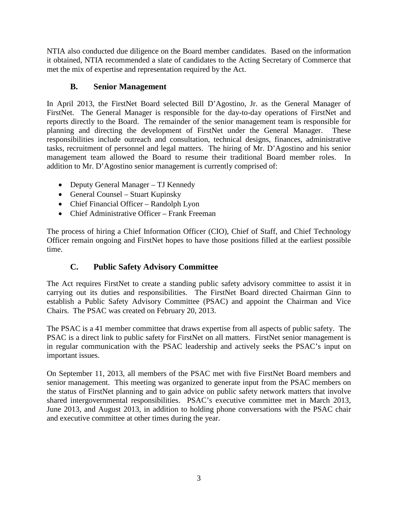NTIA also conducted due diligence on the Board member candidates. Based on the information it obtained, NTIA recommended a slate of candidates to the Acting Secretary of Commerce that met the mix of expertise and representation required by the Act.

# **B. Senior Management**

<span id="page-4-0"></span>In April 2013, the FirstNet Board selected Bill D'Agostino, Jr. as the General Manager of FirstNet. The General Manager is responsible for the day-to-day operations of FirstNet and reports directly to the Board. The remainder of the senior management team is responsible for planning and directing the development of FirstNet under the General Manager. These responsibilities include outreach and consultation, technical designs, finances, administrative tasks, recruitment of personnel and legal matters. The hiring of Mr. D'Agostino and his senior management team allowed the Board to resume their traditional Board member roles. In addition to Mr. D'Agostino senior management is currently comprised of:

- Deputy General Manager TJ Kennedy
- General Counsel Stuart Kupinsky
- Chief Financial Officer Randolph Lyon
- Chief Administrative Officer Frank Freeman

The process of hiring a Chief Information Officer (CIO), Chief of Staff, and Chief Technology Officer remain ongoing and FirstNet hopes to have those positions filled at the earliest possible time.

# <span id="page-4-1"></span>**C. Public Safety Advisory Committee**

The Act requires FirstNet to create a standing public safety advisory committee to assist it in carrying out its duties and responsibilities. The FirstNet Board directed Chairman Ginn to establish a Public Safety Advisory Committee (PSAC) and appoint the Chairman and Vice Chairs. The PSAC was created on February 20, 2013.

The PSAC is a 41 member committee that draws expertise from all aspects of public safety. The PSAC is a direct link to public safety for FirstNet on all matters. FirstNet senior management is in regular communication with the PSAC leadership and actively seeks the PSAC's input on important issues.

On September 11, 2013, all members of the PSAC met with five FirstNet Board members and senior management. This meeting was organized to generate input from the PSAC members on the status of FirstNet planning and to gain advice on public safety network matters that involve shared intergovernmental responsibilities. PSAC's executive committee met in March 2013, June 2013, and August 2013, in addition to holding phone conversations with the PSAC chair and executive committee at other times during the year.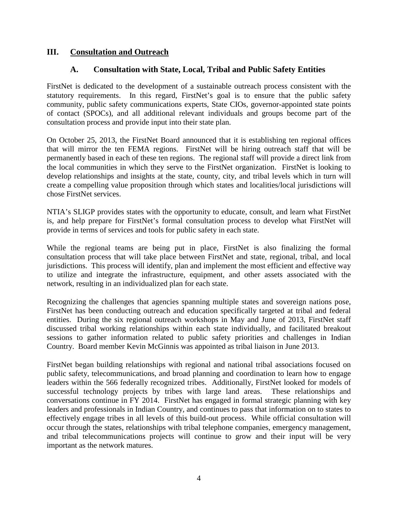#### <span id="page-5-1"></span><span id="page-5-0"></span>**III. Consultation and Outreach**

#### **A. Consultation with State, Local, Tribal and Public Safety Entities**

FirstNet is dedicated to the development of a sustainable outreach process consistent with the statutory requirements. In this regard, FirstNet's goal is to ensure that the public safety community, public safety communications experts, State CIOs, governor-appointed state points of contact (SPOCs), and all additional relevant individuals and groups become part of the consultation process and provide input into their state plan.

On October 25, 2013, the FirstNet Board announced that it is establishing ten regional offices that will mirror the ten FEMA regions. FirstNet will be hiring outreach staff that will be permanently based in each of these ten regions. The regional staff will provide a direct link from the local communities in which they serve to the FirstNet organization. FirstNet is looking to develop relationships and insights at the state, county, city, and tribal levels which in turn will create a compelling value proposition through which states and localities/local jurisdictions will chose FirstNet services.

NTIA's SLIGP provides states with the opportunity to educate, consult, and learn what FirstNet is, and help prepare for FirstNet's formal consultation process to develop what FirstNet will provide in terms of services and tools for public safety in each state.

While the regional teams are being put in place, FirstNet is also finalizing the formal consultation process that will take place between FirstNet and state, regional, tribal, and local jurisdictions. This process will identify, plan and implement the most efficient and effective way to utilize and integrate the infrastructure, equipment, and other assets associated with the network, resulting in an individualized plan for each state.

Recognizing the challenges that agencies spanning multiple states and sovereign nations pose, FirstNet has been conducting outreach and education specifically targeted at tribal and federal entities. During the six regional outreach workshops in May and June of 2013, FirstNet staff discussed tribal working relationships within each state individually, and facilitated breakout sessions to gather information related to public safety priorities and challenges in Indian Country. Board member Kevin McGinnis was appointed as tribal liaison in June 2013.

FirstNet began building relationships with regional and national tribal associations focused on public safety, telecommunications, and broad planning and coordination to learn how to engage leaders within the 566 federally recognized tribes. Additionally, FirstNet looked for models of successful technology projects by tribes with large land areas. These relationships and conversations continue in FY 2014. FirstNet has engaged in formal strategic planning with key leaders and professionals in Indian Country, and continues to pass that information on to states to effectively engage tribes in all levels of this build-out process. While official consultation will occur through the states, relationships with tribal telephone companies, emergency management, and tribal telecommunications projects will continue to grow and their input will be very important as the network matures.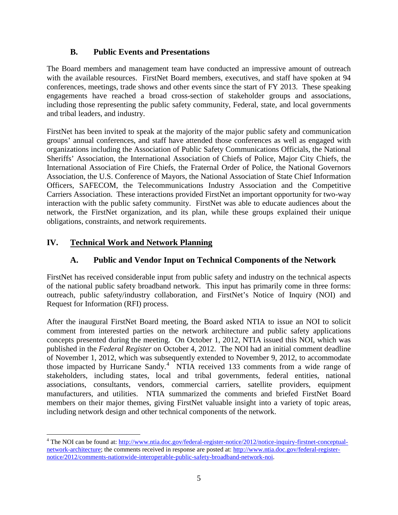### **B. Public Events and Presentations**

<span id="page-6-0"></span>The Board members and management team have conducted an impressive amount of outreach with the available resources. FirstNet Board members, executives, and staff have spoken at 94 conferences, meetings, trade shows and other events since the start of FY 2013. These speaking engagements have reached a broad cross-section of stakeholder groups and associations, including those representing the public safety community, Federal, state, and local governments and tribal leaders, and industry.

FirstNet has been invited to speak at the majority of the major public safety and communication groups' annual conferences, and staff have attended those conferences as well as engaged with organizations including the Association of Public Safety Communications Officials, the National Sheriffs' Association, the International Association of Chiefs of Police, Major City Chiefs, the International Association of Fire Chiefs, the Fraternal Order of Police, the National Governors Association, the U.S. Conference of Mayors, the National Association of State Chief Information Officers, SAFECOM, the Telecommunications Industry Association and the Competitive Carriers Association. These interactions provided FirstNet an important opportunity for two-way interaction with the public safety community. FirstNet was able to educate audiences about the network, the FirstNet organization, and its plan, while these groups explained their unique obligations, constraints, and network requirements.

# <span id="page-6-2"></span><span id="page-6-1"></span>**IV. Technical Work and Network Planning**

# **A. Public and Vendor Input on Technical Components of the Network**

FirstNet has received considerable input from public safety and industry on the technical aspects of the national public safety broadband network. This input has primarily come in three forms: outreach, public safety/industry collaboration, and FirstNet's Notice of Inquiry (NOI) and Request for Information (RFI) process.

After the inaugural FirstNet Board meeting, the Board asked NTIA to issue an NOI to solicit comment from interested parties on the network architecture and public safety applications concepts presented during the meeting. On October 1, 2012, NTIA issued this NOI, which was published in the *Federal Register* on October 4, 2012. The NOI had an initial comment deadline of November 1, 2012, which was subsequently extended to November 9, 2012, to accommodate those impacted by Hurricane Sandy.<sup>[4](#page-6-3)</sup> NTIA received 133 comments from a wide range of stakeholders, including states, local and tribal governments, federal entities, national associations, consultants, vendors, commercial carriers, satellite providers, equipment manufacturers, and utilities. NTIA summarized the comments and briefed FirstNet Board members on their major themes, giving FirstNet valuable insight into a variety of topic areas, including network design and other technical components of the network.

<span id="page-6-3"></span><sup>&</sup>lt;sup>4</sup> The NOI can be found at[: http://www.ntia.doc.gov/federal-register-notice/2012/notice-inquiry-firstnet-conceptual](http://www.ntia.doc.gov/federal-register-notice/2012/notice-inquiry-firstnet-conceptual-network-architecture)[network-architecture;](http://www.ntia.doc.gov/federal-register-notice/2012/notice-inquiry-firstnet-conceptual-network-architecture) the comments received in response are posted at: [http://www.ntia.doc.gov/federal-register](http://www.ntia.doc.gov/federal-register-notice/2012/comments-nationwide-interoperable-public-safety-broadband-network-noi)[notice/2012/comments-nationwide-interoperable-public-safety-broadband-network-noi.](http://www.ntia.doc.gov/federal-register-notice/2012/comments-nationwide-interoperable-public-safety-broadband-network-noi)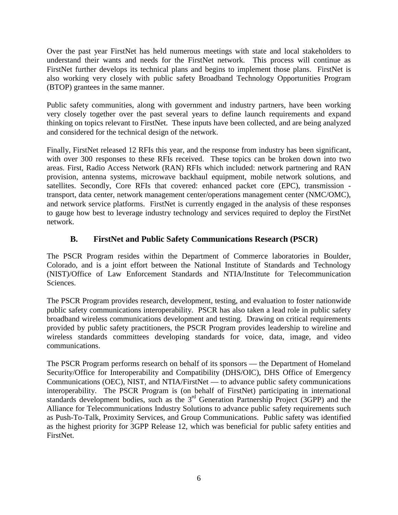Over the past year FirstNet has held numerous meetings with state and local stakeholders to understand their wants and needs for the FirstNet network. This process will continue as FirstNet further develops its technical plans and begins to implement those plans. FirstNet is also working very closely with public safety Broadband Technology Opportunities Program (BTOP) grantees in the same manner.

Public safety communities, along with government and industry partners, have been working very closely together over the past several years to define launch requirements and expand thinking on topics relevant to FirstNet. These inputs have been collected, and are being analyzed and considered for the technical design of the network.

Finally, FirstNet released 12 RFIs this year, and the response from industry has been significant, with over 300 responses to these RFIs received. These topics can be broken down into two areas. First, Radio Access Network (RAN) RFIs which included: network partnering and RAN provision, antenna systems, microwave backhaul equipment, mobile network solutions, and satellites. Secondly, Core RFIs that covered: enhanced packet core (EPC), transmission transport, data center, network management center/operations management center (NMC/OMC), and network service platforms. FirstNet is currently engaged in the analysis of these responses to gauge how best to leverage industry technology and services required to deploy the FirstNet network.

### <span id="page-7-0"></span>**B. FirstNet and Public Safety Communications Research (PSCR)**

The PSCR Program resides within the Department of Commerce laboratories in Boulder, Colorado, and is a joint effort between the National Institute of Standards and Technology (NIST)/Office of Law Enforcement Standards and NTIA/Institute for Telecommunication Sciences.

The PSCR Program provides research, development, testing, and evaluation to foster nationwide public safety communications interoperability. PSCR has also taken a lead role in public safety broadband wireless communications development and testing. Drawing on critical requirements provided by public safety practitioners, the PSCR Program provides leadership to wireline and wireless standards committees developing standards for voice, data, image, and video communications.

The PSCR Program performs research on behalf of its sponsors — the Department of Homeland Security/Office for Interoperability and Compatibility (DHS/OIC), DHS Office of Emergency Communications (OEC), NIST, and NTIA/FirstNet — to advance public safety communications interoperability. The PSCR Program is (on behalf of FirstNet) participating in international standards development bodies, such as the 3<sup>rd</sup> Generation Partnership Project (3GPP) and the Alliance for Telecommunications Industry Solutions to advance public safety requirements such as Push-To-Talk, Proximity Services, and Group Communications. Public safety was identified as the highest priority for 3GPP Release 12, which was beneficial for public safety entities and FirstNet.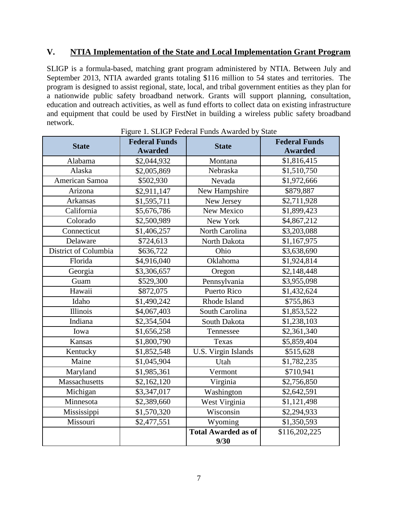#### <span id="page-8-0"></span>**V. NTIA Implementation of the State and Local Implementation Grant Program**

SLIGP is a formula-based, matching grant program administered by NTIA. Between July and September 2013, NTIA awarded grants totaling \$116 million to 54 states and territories. The program is designed to assist regional, state, local, and tribal government entities as they plan for a nationwide public safety broadband network. Grants will support planning, consultation, education and outreach activities, as well as fund efforts to collect data on existing infrastructure and equipment that could be used by FirstNet in building a wireless public safety broadband network.

<span id="page-8-1"></span>

| <b>State</b>         | <b>Federal Funds</b><br><b>Awarded</b> | <b>State</b>                       | <b>Federal Funds</b><br><b>Awarded</b> |
|----------------------|----------------------------------------|------------------------------------|----------------------------------------|
| Alabama              | \$2,044,932                            | Montana                            | \$1,816,415                            |
| Alaska               | \$2,005,869                            | Nebraska                           | \$1,510,750                            |
| American Samoa       | \$502,930                              | Nevada                             | \$1,972,666                            |
| Arizona              | \$2,911,147                            | New Hampshire                      | \$879,887                              |
| Arkansas             | \$1,595,711                            | New Jersey                         | \$2,711,928                            |
| California           | \$5,676,786                            | New Mexico                         | \$1,899,423                            |
| Colorado             | \$2,500,989                            | New York                           | \$4,867,212                            |
| Connecticut          | \$1,406,257                            | North Carolina                     | \$3,203,088                            |
| Delaware             | \$724,613                              | North Dakota                       | \$1,167,975                            |
| District of Columbia | \$636,722                              | Ohio                               | \$3,638,690                            |
| Florida              | \$4,916,040                            | Oklahoma                           | \$1,924,814                            |
| Georgia              | \$3,306,657                            | Oregon                             | \$2,148,448                            |
| Guam                 | \$529,300                              | Pennsylvania                       | \$3,955,098                            |
| Hawaii               | \$872,075                              | Puerto Rico                        | \$1,432,624                            |
| Idaho                | \$1,490,242                            | Rhode Island                       | \$755,863                              |
| <b>Illinois</b>      | \$4,067,403                            | South Carolina                     | \$1,853,522                            |
| Indiana              | \$2,354,504                            | South Dakota                       | \$1,238,103                            |
| Iowa                 | \$1,656,258                            | Tennessee                          | \$2,361,340                            |
| <b>Kansas</b>        | \$1,800,790                            | Texas                              | \$5,859,404                            |
| Kentucky             | \$1,852,548                            | U.S. Virgin Islands                | \$515,628                              |
| Maine                | \$1,045,904                            | Utah                               | \$1,782,235                            |
| Maryland             | \$1,985,361                            | Vermont                            | \$710,941                              |
| Massachusetts        | \$2,162,120                            | Virginia                           | \$2,756,850                            |
| Michigan             | \$3,347,017                            | Washington                         | \$2,642,591                            |
| Minnesota            | \$2,389,660                            | West Virginia                      | \$1,121,498                            |
| Mississippi          | \$1,570,320                            | Wisconsin                          | \$2,294,933                            |
| Missouri             | \$2,477,551                            | Wyoming                            | \$1,350,593                            |
|                      |                                        | <b>Total Awarded as of</b><br>9/30 | \$116,202,225                          |

Figure 1. SLIGP Federal Funds Awarded by State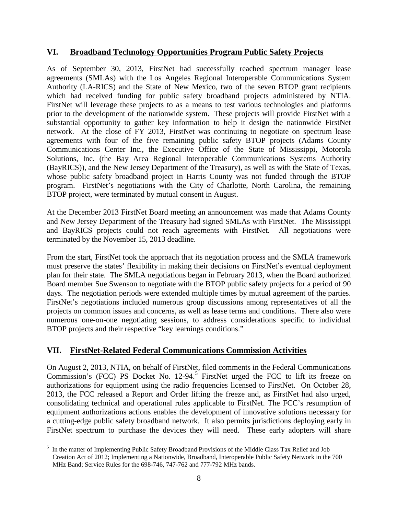#### **VI. Broadband Technology Opportunities Program Public Safety Projects**

As of September 30, 2013, FirstNet had successfully reached spectrum manager lease agreements (SMLAs) with the Los Angeles Regional Interoperable Communications System Authority (LA-RICS) and the State of New Mexico, two of the seven BTOP grant recipients which had received funding for public safety broadband projects administered by NTIA. FirstNet will leverage these projects to as a means to test various technologies and platforms prior to the development of the nationwide system. These projects will provide FirstNet with a substantial opportunity to gather key information to help it design the nationwide FirstNet network. At the close of FY 2013, FirstNet was continuing to negotiate on spectrum lease agreements with four of the five remaining public safety BTOP projects (Adams County Communications Center Inc., the Executive Office of the State of Mississippi, Motorola Solutions, Inc. (the Bay Area Regional Interoperable Communications Systems Authority (BayRICS)), and the New Jersey Department of the Treasury), as well as with the State of Texas, whose public safety broadband project in Harris County was not funded through the BTOP program. FirstNet's negotiations with the City of Charlotte, North Carolina, the remaining BTOP project, were terminated by mutual consent in August.

At the December 2013 FirstNet Board meeting an announcement was made that Adams County and New Jersey Department of the Treasury had signed SMLAs with FirstNet. The Mississippi and BayRICS projects could not reach agreements with FirstNet. All negotiations were terminated by the November 15, 2013 deadline.

From the start, FirstNet took the approach that its negotiation process and the SMLA framework must preserve the states' flexibility in making their decisions on FirstNet's eventual deployment plan for their state. The SMLA negotiations began in February 2013, when the Board authorized Board member Sue Swenson to negotiate with the BTOP public safety projects for a period of 90 days. The negotiation periods were extended multiple times by mutual agreement of the parties. FirstNet's negotiations included numerous group discussions among representatives of all the projects on common issues and concerns, as well as lease terms and conditions. There also were numerous one-on-one negotiating sessions, to address considerations specific to individual BTOP projects and their respective "key learnings conditions."

### <span id="page-9-0"></span>**VII. FirstNet-Related Federal Communications Commission Activities**

On August 2, 2013, NTIA, on behalf of FirstNet, filed comments in the Federal Communications Commission's (FCC) PS Docket No. 12-94.<sup>[5](#page-9-1)</sup> FirstNet urged the FCC to lift its freeze on authorizations for equipment using the radio frequencies licensed to FirstNet. On October 28, 2013, the FCC released a Report and Order lifting the freeze and, as FirstNet had also urged, consolidating technical and operational rules applicable to FirstNet. The FCC's resumption of equipment authorizations actions enables the development of innovative solutions necessary for a cutting-edge public safety broadband network. It also permits jurisdictions deploying early in FirstNet spectrum to purchase the devices they will need. These early adopters will share

<span id="page-9-1"></span> <sup>5</sup> In the matter of Implementing Public Safety Broadband Provisions of the Middle Class Tax Relief and Job Creation Act of 2012; Implementing a Nationwide, Broadband, Interoperable Public Safety Network in the 700 MHz Band; Service Rules for the 698-746, 747-762 and 777-792 MHz bands.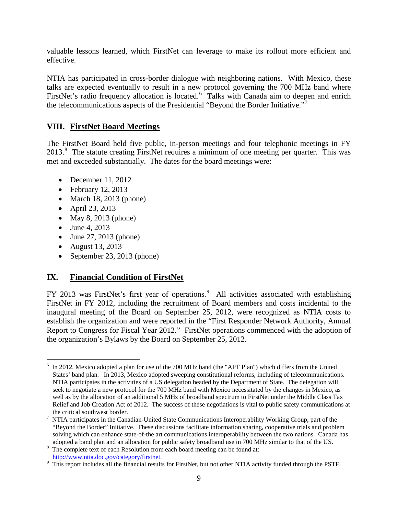valuable lessons learned, which FirstNet can leverage to make its rollout more efficient and effective.

NTIA has participated in cross-border dialogue with neighboring nations. With Mexico, these talks are expected eventually to result in a new protocol governing the 700 MHz band where FirstNet's radio frequency allocation is located.<sup>[6](#page-10-2)</sup> Talks with Canada aim to deepen and enrich the telecommunications aspects of the Presidential "Beyond the Border Initiative."[7](#page-10-3)

## <span id="page-10-0"></span>**VIII. FirstNet Board Meetings**

The FirstNet Board held five public, in-person meetings and four telephonic meetings in FY 2013.<sup>[8](#page-10-4)</sup> The statute creating FirstNet requires a minimum of one meeting per quarter. This was met and exceeded substantially. The dates for the board meetings were:

- December 11, 2012
- February 12, 2013
- March 18, 2013 (phone)
- April 23, 2013
- May 8, 2013 (phone)
- June 4, 2013
- June 27, 2013 (phone)
- August 13, 2013
- September 23, 2013 (phone)

### <span id="page-10-1"></span>**IX. Financial Condition of FirstNet**

FY 2013 was FirstNet's first year of operations.<sup>[9](#page-10-5)</sup> All activities associated with establishing FirstNet in FY 2012, including the recruitment of Board members and costs incidental to the inaugural meeting of the Board on September 25, 2012, were recognized as NTIA costs to establish the organization and were reported in the "First Responder Network Authority, Annual Report to Congress for Fiscal Year 2012." FirstNet operations commenced with the adoption of the organization's Bylaws by the Board on September 25, 2012.

<span id="page-10-2"></span> $6$  In 2012, Mexico adopted a plan for use of the 700 MHz band (the "APT Plan") which differs from the United States' band plan. In 2013, Mexico adopted sweeping constitutional reforms, including of telecommunications. NTIA participates in the activities of a US delegation headed by the Department of State. The delegation will seek to negotiate a new protocol for the 700 MHz band with Mexico necessitated by the changes in Mexico, as well as by the allocation of an additional 5 MHz of broadband spectrum to FirstNet under the Middle Class Tax Relief and Job Creation Act of 2012. The success of these negotiations is vital to public safety communications at the critical southwest border.<br>NTIA participates in the Canadian-United State Communications Interoperability Working Group, part of the

<span id="page-10-3"></span><sup>&</sup>quot;Beyond the Border" Initiative. These discussions facilitate information sharing, cooperative trials and problem solving which can enhance state-of-the art communications interoperability between the two nations. Canada has adopted a band plan and an allocation for public safety broadband use in 700 MHz similar to that of the US.<br><sup>8</sup> The complete text of each Resolution from each board meeting can be found at:

The complete text of each Resolution from each board meeting can be found at:

<span id="page-10-5"></span><span id="page-10-4"></span>[http://www.ntia.doc.gov/category/firstnet.](http://www.ntia.doc.gov/category/firstnet)<br>9 This report includes all the financial results for FirstNet, but not other NTIA activity funded through the PSTF.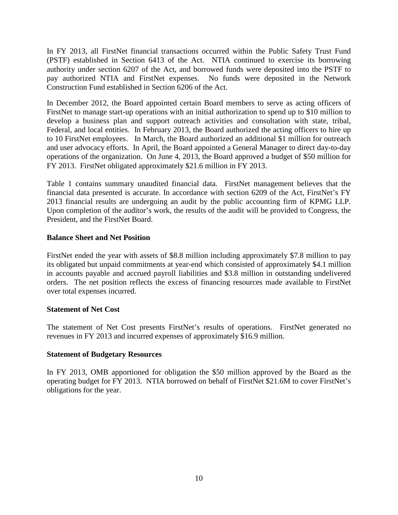In FY 2013, all FirstNet financial transactions occurred within the Public Safety Trust Fund (PSTF) established in Section 6413 of the Act. NTIA continued to exercise its borrowing authority under section 6207 of the Act, and borrowed funds were deposited into the PSTF to pay authorized NTIA and FirstNet expenses. No funds were deposited in the Network Construction Fund established in Section 6206 of the Act.

In December 2012, the Board appointed certain Board members to serve as acting officers of FirstNet to manage start-up operations with an initial authorization to spend up to \$10 million to develop a business plan and support outreach activities and consultation with state, tribal, Federal, and local entities. In February 2013, the Board authorized the acting officers to hire up to 10 FirstNet employees. In March, the Board authorized an additional \$1 million for outreach and user advocacy efforts. In April, the Board appointed a General Manager to direct day-to-day operations of the organization. On June 4, 2013, the Board approved a budget of \$50 million for FY 2013. FirstNet obligated approximately \$21.6 million in FY 2013.

Table 1 contains summary unaudited financial data. FirstNet management believes that the financial data presented is accurate. In accordance with section 6209 of the Act, FirstNet's FY 2013 financial results are undergoing an audit by the public accounting firm of KPMG LLP. Upon completion of the auditor's work, the results of the audit will be provided to Congress, the President, and the FirstNet Board.

#### **Balance Sheet and Net Position**

FirstNet ended the year with assets of \$8.8 million including approximately \$7.8 million to pay its obligated but unpaid commitments at year-end which consisted of approximately \$4.1 million in accounts payable and accrued payroll liabilities and \$3.8 million in outstanding undelivered orders. The net position reflects the excess of financing resources made available to FirstNet over total expenses incurred.

#### **Statement of Net Cost**

The statement of Net Cost presents FirstNet's results of operations. FirstNet generated no revenues in FY 2013 and incurred expenses of approximately \$16.9 million.

#### **Statement of Budgetary Resources**

In FY 2013, OMB apportioned for obligation the \$50 million approved by the Board as the operating budget for FY 2013. NTIA borrowed on behalf of FirstNet \$21.6M to cover FirstNet's obligations for the year.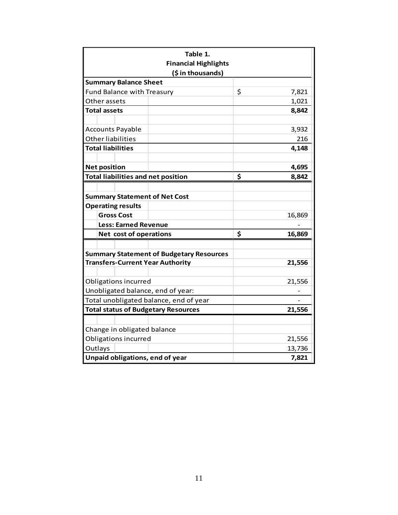<span id="page-12-0"></span>

| Table 1.<br><b>Financial Highlights</b>         |    |        |  |  |  |  |  |
|-------------------------------------------------|----|--------|--|--|--|--|--|
| (\$ in thousands)                               |    |        |  |  |  |  |  |
| <b>Summary Balance Sheet</b>                    |    |        |  |  |  |  |  |
| <b>Fund Balance with Treasury</b>               | \$ | 7,821  |  |  |  |  |  |
| Other assets                                    |    | 1,021  |  |  |  |  |  |
| <b>Total assets</b>                             |    | 8,842  |  |  |  |  |  |
|                                                 |    |        |  |  |  |  |  |
| <b>Accounts Payable</b>                         |    | 3,932  |  |  |  |  |  |
| Other liabilities                               |    | 216    |  |  |  |  |  |
| <b>Total liabilities</b>                        |    | 4,148  |  |  |  |  |  |
|                                                 |    |        |  |  |  |  |  |
| <b>Net position</b>                             |    | 4,695  |  |  |  |  |  |
| <b>Total liabilities and net position</b>       | \$ | 8,842  |  |  |  |  |  |
|                                                 |    |        |  |  |  |  |  |
| <b>Summary Statement of Net Cost</b>            |    |        |  |  |  |  |  |
| <b>Operating results</b>                        |    |        |  |  |  |  |  |
| <b>Gross Cost</b>                               |    | 16,869 |  |  |  |  |  |
| <b>Less: Earned Revenue</b>                     |    |        |  |  |  |  |  |
| Net cost of operations                          | \$ | 16,869 |  |  |  |  |  |
|                                                 |    |        |  |  |  |  |  |
| <b>Summary Statement of Budgetary Resources</b> |    |        |  |  |  |  |  |
| <b>Transfers-Current Year Authority</b>         |    | 21,556 |  |  |  |  |  |
|                                                 |    |        |  |  |  |  |  |
| Obligations incurred                            |    | 21,556 |  |  |  |  |  |
| Unobligated balance, end of year:               |    |        |  |  |  |  |  |
| Total unobligated balance, end of year          |    |        |  |  |  |  |  |
| <b>Total status of Budgetary Resources</b>      |    | 21,556 |  |  |  |  |  |
|                                                 |    |        |  |  |  |  |  |
| Change in obligated balance                     |    |        |  |  |  |  |  |
| Obligations incurred                            |    | 21,556 |  |  |  |  |  |
| Outlays                                         |    | 13,736 |  |  |  |  |  |
| Unpaid obligations, end of year                 |    | 7,821  |  |  |  |  |  |